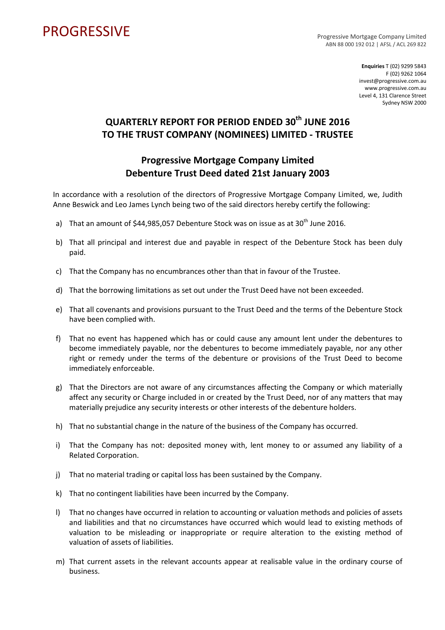## PROGRESSIVE PROGRESSIVE

ABN 88 000 192 012 | AFSL / ACL 269 822

**Enquiries** T (02) 9299 5843 F (02) 9262 1064 invest@progressive.com.au www.progressive.com.au Level 4, 131 Clarence Street Sydney NSW 2000

## **QUARTERLY REPORT FOR PERIOD ENDED 30th JUNE 2016 TO THE TRUST COMPANY (NOMINEES) LIMITED ‐ TRUSTEE**

## **Progressive Mortgage Company Limited Debenture Trust Deed dated 21st January 2003**

In accordance with a resolution of the directors of Progressive Mortgage Company Limited, we, Judith Anne Beswick and Leo James Lynch being two of the said directors hereby certify the following:

- a) That an amount of  $$44,985,057$  Debenture Stock was on issue as at  $30<sup>th</sup>$  June 2016.
- b) That all principal and interest due and payable in respect of the Debenture Stock has been duly paid.
- c) That the Company has no encumbrances other than that in favour of the Trustee.
- d) That the borrowing limitations as set out under the Trust Deed have not been exceeded.
- e) That all covenants and provisions pursuant to the Trust Deed and the terms of the Debenture Stock have been complied with.
- f) That no event has happened which has or could cause any amount lent under the debentures to become immediately payable, nor the debentures to become immediately payable, nor any other right or remedy under the terms of the debenture or provisions of the Trust Deed to become immediately enforceable.
- g) That the Directors are not aware of any circumstances affecting the Company or which materially affect any security or Charge included in or created by the Trust Deed, nor of any matters that may materially prejudice any security interests or other interests of the debenture holders.
- h) That no substantial change in the nature of the business of the Company has occurred.
- i) That the Company has not: deposited money with, lent money to or assumed any liability of a Related Corporation.
- j) That no material trading or capital loss has been sustained by the Company.
- k) That no contingent liabilities have been incurred by the Company.
- l) That no changes have occurred in relation to accounting or valuation methods and policies of assets and liabilities and that no circumstances have occurred which would lead to existing methods of valuation to be misleading or inappropriate or require alteration to the existing method of valuation of assets of liabilities.
- m) That current assets in the relevant accounts appear at realisable value in the ordinary course of business.